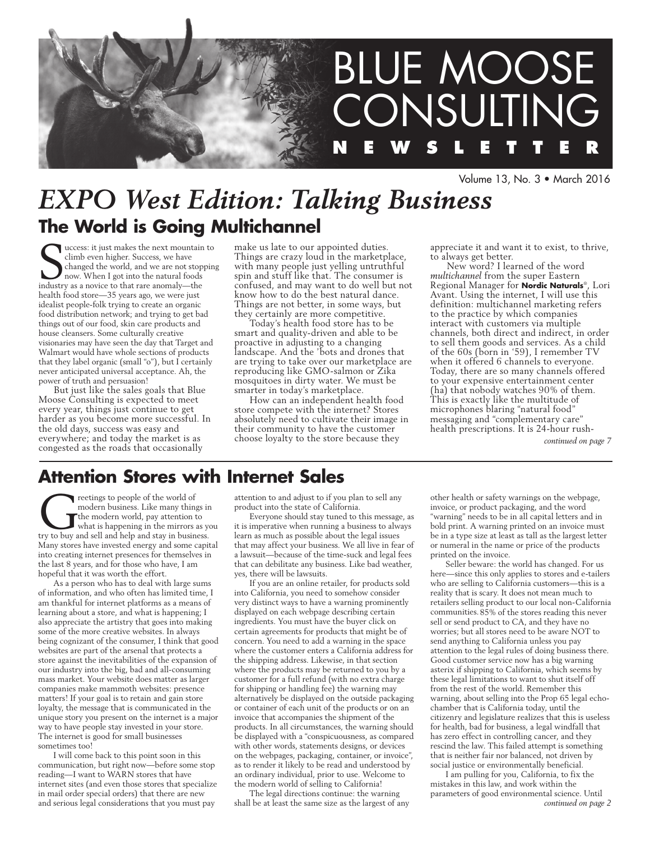

Volume 13, No. 3 • March 2016

# *EXPO West Edition: Talking Business* **The World is Going Multichannel**

success: it just makes the next mountain climb even higher. Success, we have changed the world, and we are not stop now. When I got into the natural foods industry as a novice to that rare anomaly—the uccess: it just makes the next mountain to climb even higher. Success, we have changed the world, and we are not stopping now. When I got into the natural foods health food store—35 years ago, we were just idealist people-folk trying to create an organic food distribution network; and trying to get bad things out of our food, skin care products and house cleansers. Some culturally creative visionaries may have seen the day that Target and Walmart would have whole sections of products that they label organic (small "o"), but  $\overline{I}$  certainly never anticipated universal acceptance. Ah, the power of truth and persuasion!

But just like the sales goals that Blue Moose Consulting is expected to meet every year, things just continue to get harder as you become more successful. In the old days, success was easy and everywhere; and today the market is as congested as the roads that occasionally

make us late to our appointed duties. Things are crazy loud in the marketplace, with many people just yelling untruthful spin and stuff like that. The consumer is confused, and may want to do well but not know how to do the best natural dance. Things are not better, in some ways, but they certainly are more competitive.

Today's health food store has to be smart and quality-driven and able to be proactive in adjusting to a changing landscape. And the 'bots and drones that are trying to take over our marketplace are reproducing like GMO-salmon or Zika mosquitoes in dirty water. We must be smarter in today's marketplace.

How can an independent health food store compete with the internet? Stores absolutely need to cultivate their image in their community to have the customer choose loyalty to the store because they

appreciate it and want it to exist, to thrive, to always get better.

New word? I learned of the word *multichannel* from the super Eastern Regional Manager for **Nordic Naturals**®, Lori Avant. Using the internet, I will use this definition: multichannel marketing refers to the practice by which companies interact with customers via multiple channels, both direct and indirect, in order to sell them goods and services. As a child of the 60s (born in '59), I remember TV when it offered 6 channels to everyone. Today, there are so many channels offered to your expensive entertainment center (ha) that nobody watches 90% of them. This is exactly like the multitude of microphones blaring "natural food" messaging and "complementary care" health prescriptions. It is 24-hour rush-

*continued on page 7*

# **Attention Stores with Internet Sales**

**Creatings to people of the world of modern business.** Like many things in the modern world, pay attention to what is happening in the mirrors as yet ry to buy and sell and help and stay in business. modern business. Like many things in the modern world, pay attention to what is happening in the mirrors as you Many stores have invested energy and some capital into creating internet presences for themselves in the last 8 years, and for those who have, I am hopeful that it was worth the effort.

As a person who has to deal with large sums of information, and who often has limited time, I am thankful for internet platforms as a means of learning about a store, and what is happening; I also appreciate the artistry that goes into making some of the more creative websites. In always being cognizant of the consumer, I think that good websites are part of the arsenal that protects a store against the inevitabilities of the expansion of our industry into the big, bad and all-consuming mass market. Your website does matter as larger companies make mammoth websites: presence matters! If your goal is to retain and gain store loyalty, the message that is communicated in the unique story you present on the internet is a major way to have people stay invested in your store. The internet is good for small businesses sometimes too!

I will come back to this point soon in this communication, but right now—before some stop reading—I want to WARN stores that have internet sites (and even those stores that specialize in mail order special orders) that there are new and serious legal considerations that you must pay

attention to and adjust to if you plan to sell any product into the state of California.

Everyone should stay tuned to this message, as it is imperative when running a business to always learn as much as possible about the legal issues that may affect your business. We all live in fear of a lawsuit—because of the time-suck and legal fees that can debilitate any business. Like bad weather, yes, there will be lawsuits.

If you are an online retailer, for products sold into California, you need to somehow consider very distinct ways to have a warning prominently displayed on each webpage describing certain ingredients. You must have the buyer click on certain agreements for products that might be of concern. You need to add a warning in the space where the customer enters a California address for the shipping address. Likewise, in that section where the products may be returned to you by a customer for a full refund (with no extra charge for shipping or handling fee) the warning may alternatively be displayed on the outside packaging or container of each unit of the products or on an invoice that accompanies the shipment of the products. In all circumstances, the warning should be displayed with a "conspicuousness, as compared with other words, statements designs, or devices on the webpages, packaging, container, or invoice", as to render it likely to be read and understood by an ordinary individual, prior to use. Welcome to the modern world of selling to California!

The legal directions continue: the warning shall be at least the same size as the largest of any other health or safety warnings on the webpage, invoice, or product packaging, and the word "warning" needs to be in all capital letters and in bold print. A warning printed on an invoice must be in a type size at least as tall as the largest letter or numeral in the name or price of the products printed on the invoice.

Seller beware: the world has changed. For us here—since this only applies to stores and e-tailers who are selling to California customers—this is a reality that is scary. It does not mean much to retailers selling product to our local non-California communities.85% of the stores reading this never sell or send product to CA, and they have no worries; but all stores need to be aware NOT to send anything to California unless you pay attention to the legal rules of doing business there. Good customer service now has a big warning asterix if shipping to California, which seems by these legal limitations to want to shut itself off from the rest of the world. Remember this warning, about selling into the Prop 65 legal echochamber that is California today, until the citizenry and legislature realizes that this is useless for health, bad for business, a legal windfall that has zero effect in controlling cancer, and they rescind the law. This failed attempt is something that is neither fair nor balanced, not driven by social justice or environmentally beneficial.

I am pulling for you, California, to fix the mistakes in this law, and work within the parameters of good environmental science. Until *continued on page 2*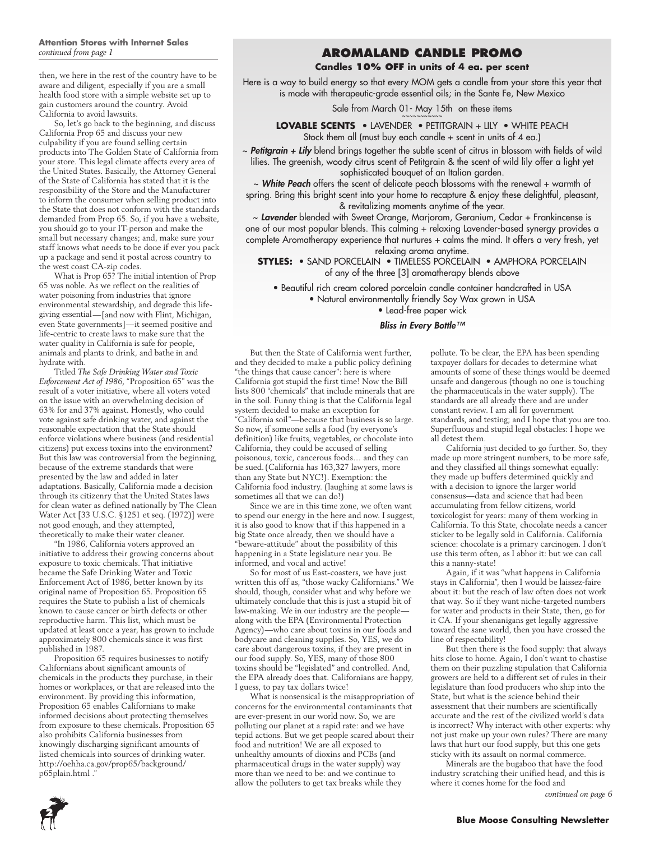then, we here in the rest of the country have to be aware and diligent, especially if you are a small health food store with a simple website set up to gain customers around the country. Avoid California to avoid lawsuits.

So, let's go back to the beginning, and discuss California Prop 65 and discuss your new culpability if you are found selling certain products into The Golden State of California from your store. This legal climate affects every area of the United States. Basically, the Attorney General of the State of California has stated that it is the responsibility of the Store and the Manufacturer to inform the consumer when selling product into the State that does not conform with the standards demanded from Prop 65. So, if you have a website, you should go to your IT-person and make the small but necessary changes; and, make sure your staff knows what needs to be done if ever you pack up a package and send it postal across country to the west coast CA-zip codes.

What is Prop 65? The initial intention of Prop 65 was noble. As we reflect on the realities of water poisoning from industries that ignore environmental stewardship, and degrade this lifegiving essential—[and now with Flint, Michigan, even State governments]—it seemed positive and life-centric to create laws to make sure that the water quality in California is safe for people, animals and plants to drink, and bathe in and hydrate with.

Titled *The Safe Drinking Water and Toxic Enforcement Act of 1986*, "Proposition 65" was the result of a voter initiative, where all voters voted on the issue with an overwhelming decision of 63% for and 37% against. Honestly, who could vote against safe drinking water, and against the reasonable expectation that the State should enforce violations where business (and residential citizens) put excess toxins into the environment? But this law was controversial from the beginning, because of the extreme standards that were presented by the law and added in later adaptations. Basically, California made a decision through its citizenry that the United States laws for clean water as defined nationally by The Clean Water Act [33 U.S.C. §1251 et seq. (1972)] were not good enough, and they attempted, theoretically to make their water cleaner.

"In 1986, California voters approved an initiative to address their growing concerns about exposure to toxic chemicals. That initiative became the Safe Drinking Water and Toxic Enforcement Act of 1986, better known by its original name of Proposition 65. Proposition 65 requires the State to publish a list of chemicals known to cause cancer or birth defects or other reproductive harm. This list, which must be updated at least once a year, has grown to include approximately 800 chemicals since it was first published in 1987.

Proposition 65 requires businesses to notify Californians about significant amounts of chemicals in the products they purchase, in their homes or workplaces, or that are released into the environment. By providing this information, Proposition 65 enables Californians to make informed decisions about protecting themselves from exposure to these chemicals. Proposition 65 also prohibits California businesses from knowingly discharging significant amounts of listed chemicals into sources of drinking water. http://oehha.ca.gov/prop65/background/ p65plain.html ."

## *continued from page 1* **Aromaland Candle Promo**

#### **Candles 10% OFF in units of 4 ea. per scent**

Here is a way to build energy so that every MOM gets a candle from your store this year that is made with therapeutic-grade essential oils; in the Sante Fe, New Mexico

Sale from March 01- May 15th on these items

**Lovable Scents** • LAVENDER • PETITGRAIN + LILY • WHITE PEACH Stock them all (must buy each candle + scent in units of 4 ea.)

~ *Petitgrain + Lily* blend brings together the subtle scent of citrus in blossom with fields of wild lilies. The greenish, woody citrus scent of Petitgrain & the scent of wild lily offer a light yet sophisticated bouquet of an Italian garden.

~ *White Peach* offers the scent of delicate peach blossoms with the renewal + warmth of spring. Bring this bright scent into your home to recapture & enjoy these delightful, pleasant, & revitalizing moments anytime of the year.

~ *Lavender* blended with Sweet Orange, Marjoram, Geranium, Cedar + Frankincense is one of our most popular blends. This calming + relaxing Lavender-based synergy provides a complete Aromatherapy experience that nurtures + calms the mind. It offers a very fresh, yet relaxing aroma anytime.

**Styles:** • Sand Porcelain • Timeless Porcelain • Amphora Porcelain of any of the three [3] aromatherapy blends above

• Beautiful rich cream colored porcelain candle container handcrafted in USA • Natural environmentally friendly Soy Wax grown in USA

• Lead-free paper wick

#### *Bliss in Every Bottle™*

But then the State of California went further, and they decided to make a public policy defining "the things that cause cancer": here is where California got stupid the first time! Now the Bill lists 800 "chemicals" that include minerals that are in the soil. Funny thing is that the California legal system decided to make an exception for "California soil"—because that business is so large. So now, if someone sells a food (by everyone's definition) like fruits, vegetables, or chocolate into California, they could be accused of selling poisonous, toxic, cancerous foods… and they can be sued.(California has 163,327 lawyers, more than any State but NYC!). Exemption: the California food industry. (laughing at some laws is sometimes all that we can do!)

Since we are in this time zone, we often want to spend our energy in the here and now. I suggest, it is also good to know that if this happened in a big State once already, then we should have a "beware-attitude" about the possibility of this happening in a State legislature near you. Be informed, and vocal and active!

So for most of us East-coasters, we have just written this off as, "those wacky Californians." We should, though, consider what and why before we ultimately conclude that this is just a stupid bit of law-making. We in our industry are the people along with the EPA (Environmental Protection Agency)—who care about toxins in our foods and bodycare and cleaning supplies. So, YES, we do care about dangerous toxins, if they are present in our food supply. So, YES, many of those 800 toxins should be "legislated" and controlled. And, the EPA already does that. Californians are happy, I guess, to pay tax dollars twice!

What is nonsensical is the misappropriation of concerns for the environmental contaminants that are ever-present in our world now. So, we are polluting our planet at a rapid rate: and we have tepid actions. But we get people scared about their food and nutrition! We are all exposed to unhealthy amounts of dioxins and PCBs (and pharmaceutical drugs in the water supply) way more than we need to be: and we continue to allow the polluters to get tax breaks while they

pollute. To be clear, the EPA has been spending taxpayer dollars for decades to determine what amounts of some of these things would be deemed unsafe and dangerous (though no one is touching the pharmaceuticals in the water supply). The standards are all already there and are under constant review. I am all for government standards, and testing; and I hope that you are too. Superfluous and stupid legal obstacles: I hope we all detest them.

California just decided to go further. So, they made up more stringent numbers, to be more safe, and they classified all things somewhat equally: they made up buffers determined quickly and with a decision to ignore the larger world consensus—data and science that had been accumulating from fellow citizens, world toxicologist for years: many of them working in California. To this State, chocolate needs a cancer sticker to be legally sold in California. California science: chocolate is a primary carcinogen. I don't use this term often, as I abhor it: but we can call this a nanny-state!

Again, if it was "what happens in California stays in California", then I would be laissez-faire about it: but the reach of law often does not work that way. So if they want niche-targeted numbers for water and products in their State, then, go for it CA. If your shenanigans get legally aggressive toward the sane world, then you have crossed the line of respectability!

But then there is the food supply: that always hits close to home. Again, I don't want to chastise them on their puzzling stipulation that California growers are held to a different set of rules in their legislature than food producers who ship into the State, but what is the science behind their assessment that their numbers are scientifically accurate and the rest of the civilized world's data is incorrect? Why interact with other experts: why not just make up your own rules? There are many laws that hurt our food supply, but this one gets sticky with its assault on normal commerce.

Minerals are the bugaboo that have the food industry scratching their unified head, and this is where it comes home for the food and

*continued on page 6*

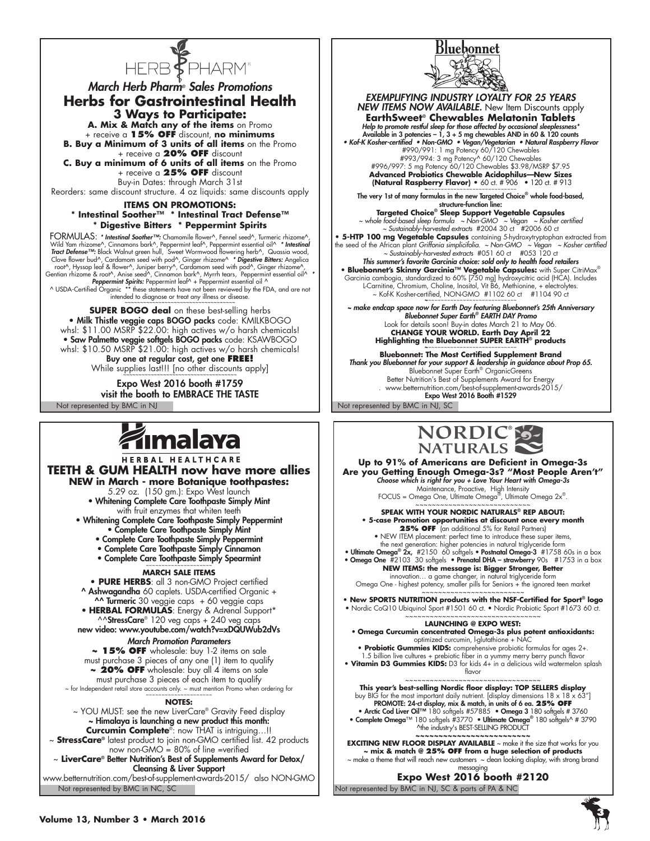

*March Herb Pharm® Sales Promotions* **Herbs for Gastrointestinal Health 3 Ways to Participate:**

**A. Mix & Match any of the items** on Promo + receive a **15% OFF** discount, **no minimums**

**B. Buy a Minimum of 3 units of all items** on the Promo + receive a **20% OFF** discount

**C. Buy a minimum of 6 units of all items** on the Promo + receive a **25% OFF** discount Buy-in Dates: through March 31st

Reorders: same discount structure. 4 oz liquids: same discounts apply

#### **ITEMS ON PROMOTIONS: \* Intestinal Soother™ \* Intestinal Tract Defense™ \* Digestive Bitters \* Peppermint Spirits**

FORMULAS: \* Intestinal Soother™: Chamomile flower^, Fennel seed^, Turmeric rhizome^,<br>Wild Yam rhizome^, Cinnamons bark^, Peppermint leaf^, Peppermint essential oil^ \* Intestinal<br>Tract Defense™: Black Walnut green hull, Sw Clove flower bud^, Cardamom seed with pod^, Ginger rhizome^ \* Digestive Bitters: Angelica<br>root^, Hyssop leaf & flower^, Juniper berry^, Cardamom seed with pod^, Ginger rhizome^,<br>Gentian rhizome & root^, Anise seed^^, Ginn

intended to diagnose or treat any illness or disease

**SUPER BOGO deal** on these best-selling herbs  $\bullet$  Milk Thistle veggie caps BOGO packs  $\mathop{\rm code}\nolimits$ : KMILKBO whsl: \$11.00 MSRP \$22.00: high actives w/o harsh chemicals! • Saw Palmetto veggie softgels BOGO packs code: KSAWBOGO whsl: \$10.50 MSRP \$21.00: high actives w/o harsh chemicals! Buy one at regular cost, get one **FREE!**  While supplies last!!! [no other discounts apply]

Not represented by BMC in NJ Not represented by BMC in NJ, SC Expo West 2016 booth #1759 visit the booth to EMBRACE THE TASTE

# **ámalaya**

HERBAL HEALTHCARE **TEETH & GUM HEALTH now have more allies NEW in March - more Botanique toothpastes:**  5.29 oz. (150 gm.): Expo West launch • Whitening Complete Care Toothpaste Simply Mint with fruit enzymes that whiten teeth • Whitening Complete Care Toothpaste Simply Peppermint

- Complete Care Toothpaste Simply Mint
- Complete Care Toothpaste Simply Peppermint
- Complete Care Toothpaste Simply Cinnamon
- Complete Care Toothpaste Simply Spearmint

#### **March Sale items**

**• PURE HERBS**: all 3 non-GMO Project certified ^ Ashwagandha 60 caplets. USDA-certified Organic + ^^ Turmeric 30 veggie caps + 60 veggie caps

• **HERBAL FORMULAS**: Energy & Adrenal Support\* ^^StressCare® 120 veg caps + 240 veg caps

new video: www.youtube.com/watch?v=xDQUWub2dVs

*March Promotion Parameters* **~ 15% OFF** wholesale: buy 1-2 items on sale must purchase 3 pieces of any one (1) item to qualify **~ 20% OFF** wholesale: buy all 4 items on sale

must purchase 3 pieces of each item to qualify

 $~\sim$  for Independent retail store accounts only.  $~\sim$  must mention Promo when ordering for

#### **NOTES:**

~ YOU MUST: see the new LiverCare® Gravity Feed display ~ Himalaya is launching a new product this month: **Curcumin Complete**®: now THAT is intriguing…!!

~ **StressCare®** latest product to join non-GMO certified list. 42 products now non-GMO = 80% of line =verified

~ **LiverCare®** Better Nutrition's Best of Supplements Award for Detox/ Cleansing & Liver Support

Not represented by BMC in NC, SC www.betternutrition.com/best-of-supplement-awards-2015/ also NON-GMO



*EXEMPLIFYING INDUSTRY LOYALTY FOR 25 YEARS* **NEW ITEMS NOW AVAILABLE.** New Item Discounts apply **EarthSweet® Chewables Melatonin Tablets** *Help to promote restful sleep for those affected by occasional sleeplessness\** Available in 3 potencies  $-1$ ,  $3 + 5$  mg chewables AND in 60 & 120 counts • Kof-K Kosher-certified • Non-GMO • Vegan/Vegetarian • Natural Raspberry Flavor<br>#990/991: 1 mg Potency 60/120 Chewables<br>#993/994: 3 mg Potency 60/120 Chewables<br>#996/997: 5 mg Potency 60/120 Chewables \$3.98/MSRP \$7.95<br>**Adv (Natural Raspberry Flavor) •** 60 ct. # 906 • 120 ct. # 913 The very 1st of many formulas in the new Targeted Choice® whole food-based, structure-function line: **Targeted Choice® Sleep Support Vegetable Capsules** *~ whole food-based sleep formula ~ Non-GMO ~ Vegan ~ Kosher certified ~ Sustainably-harvested extracts* #2004 30 ct #2006 60 ct **• 5-HTP 100 mg Vegetable Capsules** containing 5-hydroxytryptophan extracted from the seed of the African plant *Griffonia simplicifolia. ~ Non-GMO ~ Vegan ~ Kosher certified* 

× Sustainably-harvested extracts #051 60 ct #053 120 ct<br>
This summer's favorite Garcinia choice: sold only to health food retailers<br>
• Bluebonnet's Skinny Garcinia ™ Vegetable Capsules: with Super CitriMax®<br>
Garcinia cam ~ Kof-K Kosher-certified, NON-GMO #1102 60 ct #1104 90 ct

*~ make endcap space now for Earth Day featuring Bluebonnet's 25th Anniversary Bluebonnet Super Earth® EARTH DAY Promo* Look for details soon! Buy-in dates March 21 to May 06.<br> **CHANGE YOUR WORLD. Earth Day April 22**<br> **Highlighting the Bluebonnet SUPER EARTH® products**<br> **Products** 

**Bluebonnet: The Most Certified Supplement Brand** *Thank you Bluebonnet for your support & leadership in guidance about Prop 65.* Bluebonnet Super Earth® OrganicGreens Better Nutrition's Best of Supplements Award for Energy . www.betternutrition.com/best-of-supplement-awards-2015/ Expo West 2016 Booth #1529



**Up to 91% of Americans are Deficient in Omega-3s Are you Getting Enough Omega-3s? "Most People Aren't"**<br>Choose which is right for you + Love Your Heart with Omega-3s<br>Maintenance, Proactive, High Intensity<br>FOCUS = Omega One, Ultimate Omega 2x<sup>®</sup>.<br>Alter Omega 2x<sup>®</sup>.

**Speak with your Nordic Naturals® Rep about: • 5-case Promotion opportunities at discount once every month**

**25% OFF** (an additional 5% for Retail Partners) • NEW ITEM placement: perfect time to introduce these super items,<br>the next generation: higher potencies in natural triglyceride form<br>• Ultimate Omega® 2x, #2150 60 softgels • Postnatal Omega-3 #1758 60s in a box<br>• Omega O

**NEW ITEMS: the message is: Bigger Stronger, Better** innovation… a game changer, in natural triglyceride form Omega One - highest potency, smaller pills for Seniors + the ignored teen market

~~~~~~~~~~~~~~~~~~~~~~~~~ **• New SPORTS NUTRITION products with the NSF-Certified for Sport® logo** • Nordic CoQ10 Ubiquinol Sport #1501 60 ct. • Nordic Probiotic Sport #1673 60 ct.

#### ~~~~~~~~~~~~~~~~~~~~~~~~~~~~ **LAUNCHING @ Expo West:**

• **Omega Curcumin concentrated Omega-3s plus potent antioxidants:**

optimized curcumin, l-glutathione + NAC<br>• **Probiotic Gummies KIDS:** comprehensive probiotic formulas for ages 2+.<br>1.5 billion live cultures + prebiotic fiber in a yumm**y** merry berry punch flavor<br>• **Vitamin D3 Gummies KIDS** 

flavor

This year's best-selling Nordrain Contractor CONDITION BOOTHERS display<br>buy BIG for the most important daily nutrient. [display dimensions  $18 \times 18 \times 63$ "]<br>PROMOTE: 24-ct display, mix & match, in units of 6 ea. 25% OFF • Arctic Cod Liver Oil™ 180 softgels #57885 • Omega 3 180 softgels # 3760 • Complete Omega™ 180 softgels #3770 • Ultimate Omega® 180 softgels^ # 3790

^the industry's BEST-SELLING PRODUCT **~~~~~~~~~~~~~~~~~~~~~~~~~ EXCITING NEW FLOOR DISPLAY AVAILABLE** ~ make it the size that works for you **~ mix & match @ 25% OFF from a huge selection of products** ~ make a theme that will reach new customers ~ clean looking display, with strong brand

Not represented by BMC in NJ, SC & parts of PA & NC messaging **Expo West 2016 booth #2120**

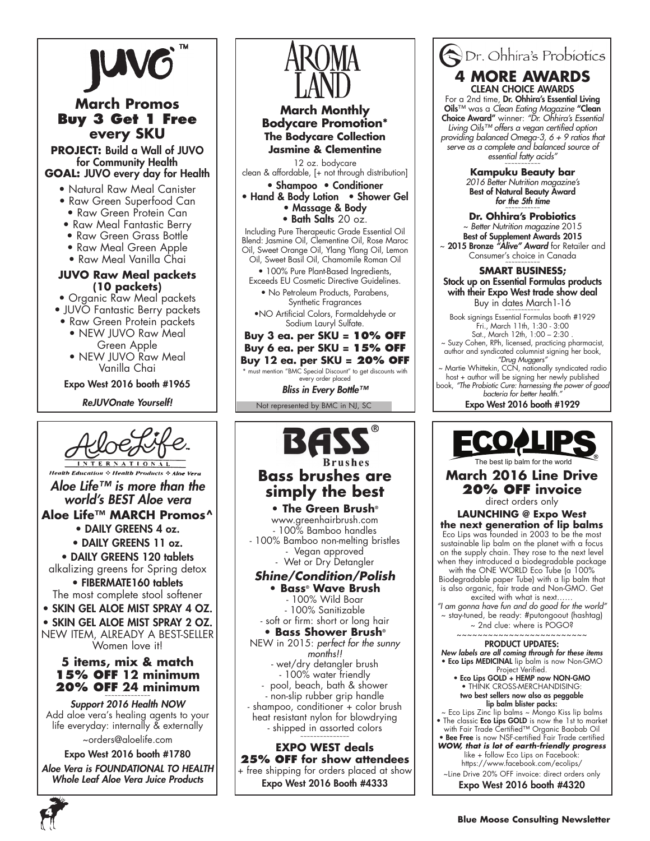





*bacteria for better health."* Expo West 2016 booth #1929



**March 2016 Line Drive 20% OFF invoice** 

direct orders only

**LAUNCHING @ Expo West the next generation of lip balms** Eco Lips was founded in 2003 to be the most sustainable lip balm on the planet with a focus on the supply chain. They rose to the next level when they introduced a biodegradable package with the ONE WORLD Eco Tube (a 100% Biodegradable paper Tube) with a lip balm that is also organic, fair trade and Non-GMO. Get excited with what is next…… *"I am gonna have fun and do good for the world"* ~ stay-tuned, be ready: #putongoout (hashtag) ~ 2nd clue: where is POGO? ~~~~~~~~~~~~~~~~~~~~~~~~~ PRODUCT UPDATES: *New labels are all coming through for these items* • Eco Lips MEDICINAL lip balm is now Non-GMO Project Verified.

• Eco Lips GOLD + HEMP now NON-GMO • THINK CROSS-MERCHANDISING: two best sellers now also as peggable lip balm blister packs:

~ Eco Lips Zinc lip balms ~ Mongo Kiss lip balms • The classic **Eco Lips GOLD** is now the 1st to market

with Fair Trade Certified™ Organic Baobab Oil • Bee Free is now NSF-certified Fair Trade certified *WOW, that is lot of earth-friendly progress* like + follow Eco Lips on Facebook: https://www.facebook.com/ecolips/

~Line Drive 20% OFF invoice: direct orders only

Expo West 2016 booth #4320

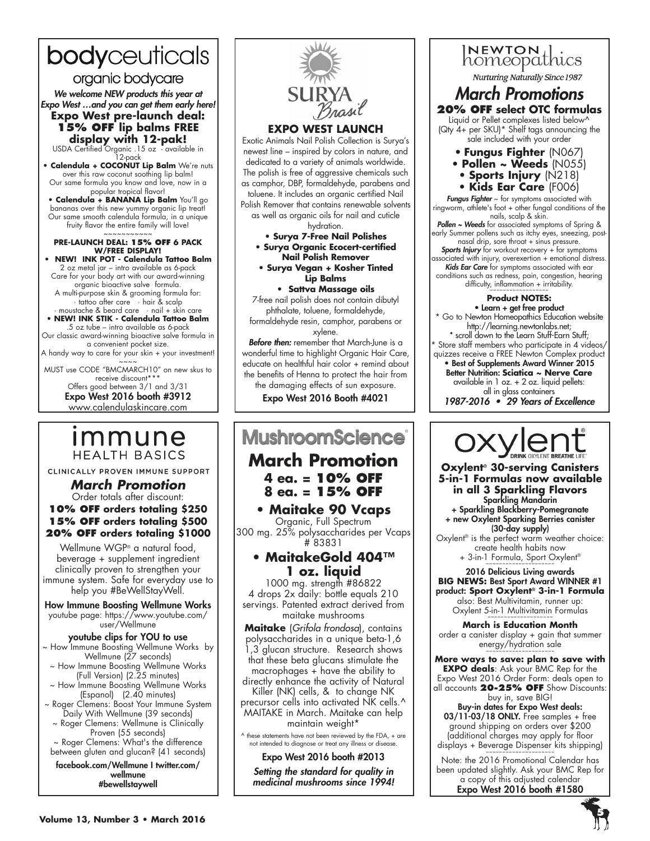# bodyceuticals

organic bodycare

*We welcome NEW products this year at* 

*Expo West …and you can get them early here!*  **Expo West pre-launch deal: 15% off lip balms FREE display with 12-pak!** USDA Certified Organic .15 oz - available in

12-pack

**• Calendula + COCONUT Lip Balm** We're nuts over this raw coconut soothing lip balm! Our same formula you know and love, now in a

popular tropical flavor! **• Calendula + BANANA Lip Balm** You'll go bananas over this new yummy organic lip treat! Our same smooth calendula formula, in a unique fruity flavor the entire family will love!

~~~~~~~~~~~ **Pre-launch deal: 15% OFF 6 pack w/FREE display!**

**• NEW! INK POT - Calendula Tattoo Balm** 2 oz metal jar – intro available as 6-pack Care for your body art with our award-winning organic bioactive salve formula. A multi-purpose skin & grooming formula for: · tattoo after care · hair & scalp · moustache & beard care · nail + skin care

• **NEW! INK STIK - Calendula Tattoo Balm**  .5 oz tube – intro available as 6-pack

Our classic award-winning bioactive salve formula in a convenient pocket size. A handy way to care for your skin + your investment!

 $\sim$   $\sim$   $\sim$ 

MUST use CODE "BMCMARCH10" on new skus to receive discount\*\*\* Offers good between 3/1 and 3/31

Expo West 2016 booth #3912 www.calendulaskincare.com

# ımmune **HEALTH BASICS**

CLINICALLY PROVEN IMMUNE SUPPORT

*March Promotion* Order totals after discount: **10% OFF orders totaling \$250 15% OFF orders totaling \$500 20% OFF orders totaling \$1000**

Wellmune WGP® a natural food, beverage + supplement ingredient clinically proven to strengthen your immune system. Safe for everyday use to help you #BeWellStayWell.

How Immune Boosting Wellmune Works youtube page: https://www.youtube.com/ user/Wellmune

## youtube clips for YOU to use

~ How Immune Boosting Wellmune Works by Wellmune (27 seconds)

- ~ How Immune Boosting Wellmune Works (Full Version) (2.25 minutes)
- ~ How Immune Boosting Wellmune Works (Espanol) (2.40 minutes) ~ Roger Clemens: Boost Your Immune System
- Daily With Wellmune (39 seconds) ~ Roger Clemens: Wellmune is Clinically Proven (55 seconds)

~ Roger Clemens: What's the difference between gluten and glucan? (41 seconds)

facebook.com/Wellmune I twitter.com/ wellmune #bewellstaywell



### **EXPO WEST LAUNCH**

Exotic Animals Nail Polish Collection is Surya's newest line – inspired by colors in nature, and dedicated to a variety of animals worldwide. The polish is free of aggressive chemicals such as camphor, DBP, formaldehyde, parabens and toluene. It includes an organic certified Nail Polish Remover that contains renewable solvents as well as organic oils for nail and cuticle hydration.

**• Surya 7-Free Nail Polishes**

**• Surya Organic Ecocert-certified Nail Polish Remover**

**• Surya Vegan + Kosher Tinted Lip Balms**

**• Sattva Massage oils** 7-free nail polish does not contain dibutyl phthalate, toluene, formaldehyde, formaldehyde resin, camphor, parabens or

xylene. *Before then:* remember that March-June is a wonderful time to highlight Organic Hair Care, educate on healthful hair color + remind about the benefits of Henna to protect the hair from the damaging effects of sun exposure.

Expo West 2016 Booth #4021

# **MushroomScience**

# **March Promotion 4 ea. = 10% OFF 8 ea. = 15% OFF**

**• Maitake 90 Vcaps**

Organic, Full Spectrum 300 mg. 25% polysaccharides per Vcaps # 83831

## **• MaitakeGold 404™ 1 oz. liquid**

1000 mg. strength #86822 4 drops 2x daily: bottle equals 210 servings. Patented extract derived from maitake mushrooms

**Maitake** (*Grifola frondosa*), contains polysaccharides in a unique beta-1,6 1,3 glucan structure. Research shows that these beta glucans stimulate the  $macrophages + have the ability to$ directly enhance the activity of Natural Killer (NK) cells, & to change NK

precursor cells into activated NK cells.^ MAITAKE in March. Maitake can help maintain weight\*

 $\land$  these statements have not been reviewed by the FDA, + are not intended to diagnose or treat any illness or disease.

Expo West 2016 booth #2013 *Setting the standard for quality in medicinal mushrooms since 1994!*



# *March Promotions* **20% OFF select OTC formulas**

Liquid or Pellet complexes listed below^ (Qty 4+ per SKU)\* Shelf tags announcing the sale included with your order

- **Fungus Fighter** (N067)
- **Pollen ~ Weeds** (N055)
- **Sports Injury** (N218)
- **Kids Ear Care** (F006)

*Fungus Fighter* ~ for symptoms associated with ringworm, athlete's foot + other fungal conditions of the nails, scalp & skin. **Pollen ~ Weeds** for associated symptoms of Spring & early Summer pollens such as itchy eyes, sneezing, postnasal drip, sore throat + sinus pressure. *Sports Injury* for workout recovery + for symptoms associated with injury, overexertion  $+$  emotional distress.

**Kids Ear Care** for symptoms associated with ear conditions such as redness, pain, congestion, hearing difficulty, inflammation + irritability. ~~~~~~~~~~~~~~~~~~

### **Product NOTES:**

• Learn + get free product Go to Newton Homeopathics Education website http://learning.newtonlabs.net; \* scroll down to the Learn Stuff-Earn Stuff; Store staff members who participate in 4 videos/ quizzes receive a FREE Newton Complex product **•** Best of Supplements Award Winner 2015 Better Nutrition: **Sciatica ~ Nerve Care** available in 1 oz. + 2 oz. liquid pellets: all in glass containers 1987-2016 • 29 Years of Excellence

**Oxylent® 30-serving Canisters 5-in-1 Formulas now available in all 3 Sparkling Flavors** Sparkling Mandarin + Sparkling Blackberry-Pomegranate + new Oxylent Sparking Berries canister (30-day supply) Oxylent® is the perfect warm weather choice: create health habits now + 3-in-1 Formula, Sport Oxylent® ~~~~~~~~~~~~~~~~

2016 Delicious Living awards **BIG NEWS:** Best Sport Award WINNER #1 product: **Sport Oxylent® 3-in-1 Formula** also: Best Multivitamin, runner up: Oxylent 5-in-1 Multivitamin Formulas

**March is Education Month** order a canister display + gain that summer energy/hydration sale

**More ways to save: plan to save with EXPO deals**: Ask your BMC Rep for the Expo West 2016 Order Form: deals open to all accounts **20-25% OFF** Show Discounts:

buy in, save BIG! Buy-in dates for Expo West deals: 03/11-03/18 ONLY. Free samples + free ground shipping on orders over \$200 (additional charges may apply for floor displays + Beverage Dispenser kits shipping)

Note: the 2016 Promotional Calendar has been updated slightly. Ask your BMC Rep for a copy of this adjusted calendar Expo West 2016 booth #1580

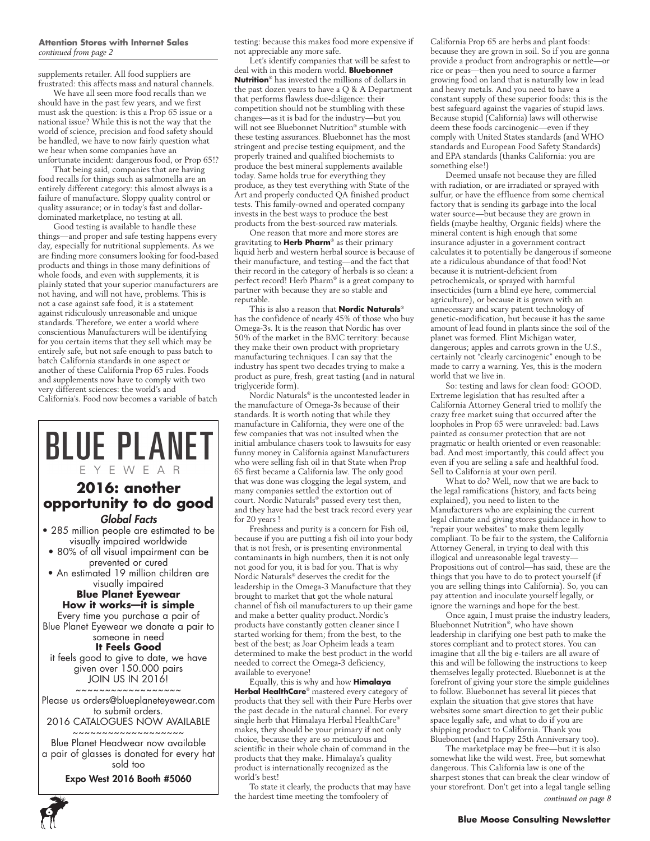#### **Attention Stores with Internet Sales** *continued from page 2*

supplements retailer. All food suppliers are frustrated: this affects mass and natural channels.

We have all seen more food recalls than we should have in the past few years, and we first must ask the question: is this a Prop 65 issue or a national issue? While this is not the way that the world of science, precision and food safety should be handled, we have to now fairly question what we hear when some companies have an unfortunate incident: dangerous food, or Prop 65!?

That being said, companies that are having food recalls for things such as salmonella are an entirely different category: this almost always is a failure of manufacture. Sloppy quality control or quality assurance; or in today's fast and dollardominated marketplace, no testing at all.

Good testing is available to handle these things—and proper and safe testing happens every day, especially for nutritional supplements. As we are finding more consumers looking for food-based products and things in those many definitions of whole foods, and even with supplements, it is plainly stated that your superior manufacturers are not having, and will not have, problems. This is not a case against safe food, it is a statement against ridiculously unreasonable and unique standards. Therefore, we enter a world where conscientious Manufacturers will be identifying for you certain items that they sell which may be entirely safe, but not safe enough to pass batch to batch California standards in one aspect or another of these California Prop 65 rules. Foods and supplements now have to comply with two very different sciences: the world's and California's. Food now becomes a variable of batch

# **BLUE PLANET** EYEWEAR **2016: another opportunity to do good**

## *Global Facts*

- 285 million people are estimated to be visually impaired worldwide
- 80% of all visual impairment can be prevented or cured
- An estimated 19 million children are visually impaired

#### **Blue Planet Eyewear How it works—it is simple**

Every time you purchase a pair of Blue Planet Eyewear we donate a pair to someone in need

#### **It Feels Good**

it feels good to give to date, we have given over 150.000 pairs JOIN US IN 2016! ~~~~~~~~~~~~~~~~~~

Please us orders@blueplaneteyewear.com to submit orders.

#### 2016 CATALOGUES NOW AVAILABLE ~~~~~~~~~~~~~~~~~~~

Blue Planet Headwear now available a pair of glasses is donated for every hat sold too

Expo West 2016 Booth #5060

**6**

testing: because this makes food more expensive if not appreciable any more safe.

Let's identify companies that will be safest to deal with in this modern world. **Bluebonnet Nutrition**® has invested the millions of dollars in the past dozen years to have a Q & A Department that performs flawless due-diligence: their competition should not be stumbling with these changes—as it is bad for the industry—but you will not see Bluebonnet Nutrition® stumble with these testing assurances. Bluebonnet has the most stringent and precise testing equipment, and the properly trained and qualified biochemists to produce the best mineral supplements available today. Same holds true for everything they produce, as they test everything with State of the Art and properly conducted QA finished product tests. This family-owned and operated company invests in the best ways to produce the best products from the best-sourced raw materials.

One reason that more and more stores are gravitating to **Herb Pharm**® as their primary liquid herb and western herbal source is because of their manufacture, and testing—and the fact that their record in the category of herbals is so clean: a perfect record! Herb Pharm® is a great company to partner with because they are so stable and reputable.

This is also a reason that **Nordic Naturals**® has the confidence of nearly 45% of those who buy Omega-3s. It is the reason that Nordic has over 50% of the market in the BMC territory: because they make their own product with proprietary manufacturing techniques. I can say that the industry has spent two decades trying to make a product as pure, fresh, great tasting (and in natural triglyceride form).

Nordic Naturals® is the uncontested leader in the manufacture of Omega-3s because of their standards. It is worth noting that while they manufacture in California, they were one of the few companies that was not insulted when the initial ambulance chasers took to lawsuits for easy funny money in California against Manufacturers who were selling fish oil in that State when Prop 65 first became a California law. The only good that was done was clogging the legal system, and many companies settled the extortion out of court. Nordic Naturals® passed every test then, and they have had the best track record every year for 20 years !

Freshness and purity is a concern for Fish oil, because if you are putting a fish oil into your body that is not fresh, or is presenting environmental contaminants in high numbers, then it is not only not good for you, it is bad for you. That is why Nordic Naturals® deserves the credit for the leadership in the Omega-3 Manufacture that they brought to market that got the whole natural channel of fish oil manufacturers to up their game and make a better quality product.Nordic's products have constantly gotten cleaner since I started working for them; from the best, to the best of the best; as Joar Opheim leads a team determined to make the best product in the world needed to correct the Omega-3 deficiency, available to everyone!

Equally, this is why and how **Himalaya Herbal HealthCare**® mastered every category of products that they sell with their Pure Herbs over the past decade in the natural channel. For every single herb that Himalaya Herbal HealthCare® makes, they should be your primary if not only choice, because they are so meticulous and scientific in their whole chain of command in the products that they make. Himalaya's quality product is internationally recognized as the world's best!

To state it clearly, the products that may have the hardest time meeting the tomfoolery of

California Prop 65 are herbs and plant foods: because they are grown in soil. So if you are gonna provide a product from andrographis or nettle—or rice or peas—then you need to source a farmer growing food on land that is naturally low in lead and heavy metals. And you need to have a constant supply of these superior foods: this is the best safeguard against the vagaries of stupid laws. Because stupid (California) laws will otherwise deem these foods carcinogenic—even if they comply with United States standards (and WHO standards and European Food Safety Standards) and EPA standards (thanks California: you are something else!)

Deemed unsafe not because they are filled with radiation, or are irradiated or sprayed with sulfur, or have the effluence from some chemical factory that is sending its garbage into the local water source—but because they are grown in fields (maybe healthy, Organic fields) where the mineral content is high enough that some insurance adjuster in a government contract calculates it to potentially be dangerous if someone ate a ridiculous abundance of that food!Not because it is nutrient-deficient from petrochemicals, or sprayed with harmful insecticides (turn a blind eye here, commercial agriculture), or because it is grown with an unnecessary and scary patent technology of genetic-modification, but because it has the same amount of lead found in plants since the soil of the planet was formed. Flint Michigan water, dangerous; apples and carrots grown in the U.S., certainly not "clearly carcinogenic" enough to be made to carry a warning. Yes, this is the modern world that we live in.

So: testing and laws for clean food: GOOD. Extreme legislation that has resulted after a California Attorney General tried to mollify the crazy free market suing that occurred after the loopholes in Prop 65 were unraveled: bad.Laws painted as consumer protection that are not pragmatic or health oriented or even reasonable: bad. And most importantly, this could affect you even if you are selling a safe and healthful food. Sell to California at your own peril.

What to do? Well, now that we are back to the legal ramifications (history, and facts being explained), you need to listen to the Manufacturers who are explaining the current legal climate and giving stores guidance in how to "repair your websites" to make them legally compliant. To be fair to the system, the California Attorney General, in trying to deal with this illogical and unreasonable legal travesty— Propositions out of control—has said, these are the things that you have to do to protect yourself (if you are selling things into California). So, you can pay attention and inoculate yourself legally, or ignore the warnings and hope for the best.

Once again, I must praise the industry leaders, Bluebonnet Nutrition®, who have shown leadership in clarifying one best path to make the stores compliant and to protect stores. You can imagine that all the big e-tailers are all aware of this and will be following the instructions to keep themselves legally protected. Bluebonnet is at the forefront of giving your store the simple guidelines to follow. Bluebonnet has several lit pieces that explain the situation that give stores that have websites some smart direction to get their public space legally safe, and what to do if you are shipping product to California. Thank you Bluebonnet (and Happy 25th Anniversary too).

The marketplace may be free—but it is also somewhat like the wild west. Free, but somewhat dangerous. This California law is one of the sharpest stones that can break the clear window of your storefront. Don't get into a legal tangle selling *continued on page 8*

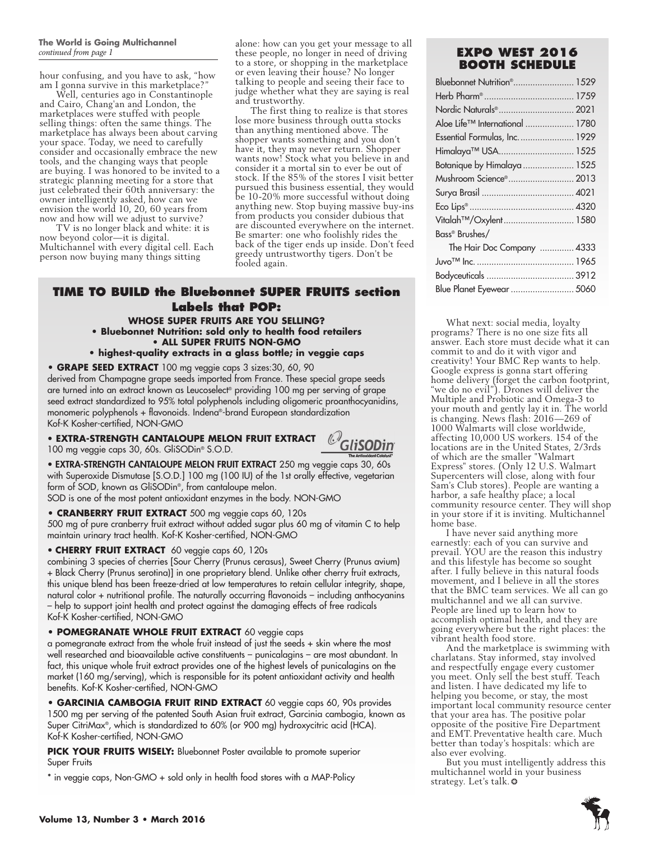hour confusing, and you have to ask, "how am I gonna survive in this marketplace?

Well, centuries ago in Constantinople and Cairo, Chang'an and London, the marketplaces were stuffed with people selling things: often the same things. The marketplace has always been about carving your space. Today, we need to carefully consider and occasionally embrace the new tools, and the changing ways that people are buying. I was honored to be invited to a strategic planning meeting for a store that just celebrated their 60th anniversary: the owner intelligently asked, how can we envision the world 10, 20, 60 years from now and how will we adjust to survive?

TV is no longer black and white: it is now beyond color—it is digital. Multichannel with every digital cell. Each person now buying many things sitting

alone: how can you get your message to all these people, no longer in need of driving *continued from page 1* **Expo West 2016** to a store, or shopping in the marketplace or even leaving their house? No longer talking to people and seeing their face to judge whether what they are saying is real and trustworthy.

The first thing to realize is that stores lose more business through outta stocks than anything mentioned above. The shopper wants something and you don't have it, they may never return. Shopper wants now! Stock what you believe in and consider it a mortal sin to ever be out of stock. If the 85% of the stores I visit better pursued this business essential, they would be 10-20% more successful without doing anything new. Stop buying massive buy-ins from products you consider dubious that are discounted everywhere on the internet. Be smarter: one who foolishly rides the back of the tiger ends up inside. Don't feed greedy untrustworthy tigers. Don't be fooled again.

## **TIME TO BUILD the Bluebonnet SUPER FRUITS section Labels that POP: whose SUPER FRUITS are you selling?**

#### **• Bluebonnet Nutrition: sold only to health food retailers • ALL SUPER FRUITS NON-GMO**

#### **• highest-quality extracts in a glass bottle; in veggie caps**

**• GRAPE SEED EXTRACT** 100 mg veggie caps 3 sizes:30, 60, 90

derived from Champagne grape seeds imported from France. These special grape seeds are turned into an extract known as Leucoselect® providing 100 mg per serving of grape seed extract standardized to 95% total polyphenols including oligomeric proanthocyanidins, monomeric polyphenols + flavonoids. Indena®-brand European standardization Kof-K Kosher-certified, NON-GMO

• EXTRA-STRENGTH CANTALOUPE MELON FRUIT EXTRACT *Q* 100 mg veggie caps 30, 60s. GliSODin® S.O.D.



• EXTRA-STRENGTH CANTALOUPE MELON FRUIT EXTRACT 250 mg veggie caps 30, 60s with Superoxide Dismutase [S.O.D.] 100 mg (100 IU) of the 1st orally effective, vegetarian form of SOD, known as GliSODin®, from cantaloupe melon.

SOD is one of the most potent antioxidant enzymes in the body. NON-GMO

#### **• CRANBERRY FRUIT EXTRACT** 500 mg veggie caps 60, 120s

500 mg of pure cranberry fruit extract without added sugar plus 60 mg of vitamin C to help maintain urinary tract health. Kof-K Kosher-certified, NON-GMO

#### • **CHERRY FRUIT EXTRACT** 60 veggie caps 60, 120s

combining 3 species of cherries [Sour Cherry (Prunus cerasus), Sweet Cherry (Prunus avium) + Black Cherry (Prunus serotina)] in one proprietary blend. Unlike other cherry fruit extracts, this unique blend has been freeze-dried at low temperatures to retain cellular integrity, shape, natural color + nutritional profile. The naturally occurring flavonoids – including anthocyanins – help to support joint health and protect against the damaging effects of free radicals Kof-K Kosher-certified, NON-GMO

#### **• POMEGRANATE WHOLE FRUIT EXTRACT** 60 veggie caps

a pomegranate extract from the whole fruit instead of just the seeds + skin where the most well researched and bioavailable active constituents – punicalagins – are most abundant. In fact, this unique whole fruit extract provides one of the highest levels of punicalagins on the market (160 mg/serving), which is responsible for its potent antioxidant activity and health benefits. Kof-K Kosher-certified, NON-GMO

**• GARCINIA CAMBOGIA FRUIT RIND EXTRACT** 60 veggie caps 60, 90s provides 1500 mg per serving of the patented South Asian fruit extract, Garcinia cambogia, known as Super CitriMax®, which is standardized to 60% (or 900 mg) hydroxycitric acid (HCA). Kof-K Kosher-certified, NON-GMO

**PICK YOUR FRUITS WISELY:** Bluebonnet Poster available to promote superior Super Fruits

\* in veggie caps, Non-GMO + sold only in health food stores with a MAP-Policy

# **Booth Schedule**

| Bluebonnet Nutrition <sup>®</sup> 1529 |  |
|----------------------------------------|--|
|                                        |  |
| Nordic Naturals <sup>®</sup> 2021      |  |
| Aloe Life™ International  1780         |  |
| Essential Formulas, Inc.  1929         |  |
| Himalaya™ USA 1525                     |  |
| Botanique by Himalaya  1525            |  |
| Mushroom Science® 2013                 |  |
|                                        |  |
|                                        |  |
| Vitalah <sup>TM</sup> /Oxylent 1580    |  |
| Bass® Brushes/                         |  |
| The Hair Doc Company  4333             |  |
|                                        |  |
|                                        |  |
|                                        |  |

What next: social media, loyalty programs? There is no one size fits all answer. Each store must decide what it can commit to and do it with vigor and creativity! Your BMC Rep wants to help. Google express is gonna start offering home delivery (forget the carbon footprint, "we do no evil"). Drones will deliver the Multiple and Probiotic and Omega-3 to your mouth and gently lay it in. The world is changing. News flash: 2016—269 of 1000 Walmarts will close worldwide, affecting 10,000 US workers. 154 of the locations are in the United States, 2/3rds of which are the smaller "Walmart Express" stores. (Only 12 U.S. Walmart Supercenters will close, along with four Sam's Club stores). People are wanting a harbor, a safe healthy place; a local community resource center. They will shop in your store if it is inviting. Multichannel home base.

I have never said anything more earnestly: each of you can survive and prevail. YOU are the reason this industry and this lifestyle has become so sought after. I fully believe in this natural foods movement, and I believe in all the stores that the BMC team services. We all can go multichannel and we all can survive. People are lined up to learn how to accomplish optimal health, and they are going everywhere but the right places: the vibrant health food store.

And the marketplace is swimming with charlatans. Stay informed, stay involved and respectfully engage every customer you meet. Only sell the best stuff. Teach and listen. I have dedicated my life to helping you become, or stay, the most important local community resource center that your area has. The positive polar opposite of the positive Fire Department and EMT.Preventative health care. Much better than today's hospitals: which are also ever evolving.

But you must intelligently address this multichannel world in your business strategy. Let's talk.❂